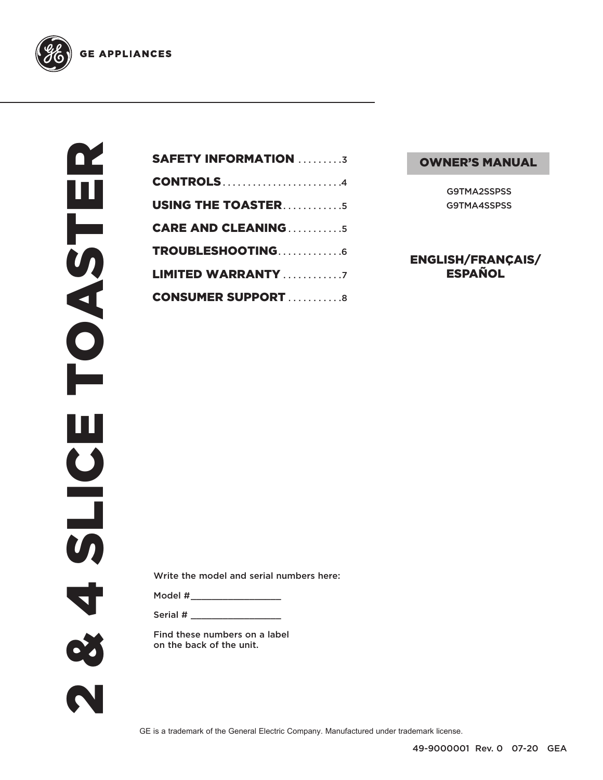

| <b>SAFETY INFORMATION 3</b> |
|-----------------------------|
| <b>CONTROLS4</b>            |
| <b>USING THE TOASTER5</b>   |
| <b>CARE AND CLEANING5</b>   |
| TROUBLESHOOTING6            |
| <b>LIMITED WARRANTY</b> 7   |
| <b>CONSUMER SUPPORT 8</b>   |

#### OWNER'S MANUAL

G9TMA2SSPSS G9TMA4SSPSS

ENGLISH/FRANÇAIS/ ESPAÑOL

Write the model and serial numbers here:

Model # \_\_\_\_\_\_\_\_\_\_\_\_\_\_\_\_\_

Serial # \_\_\_\_\_\_\_\_\_\_\_\_\_\_\_\_\_

Find these numbers on a label on the back of the unit.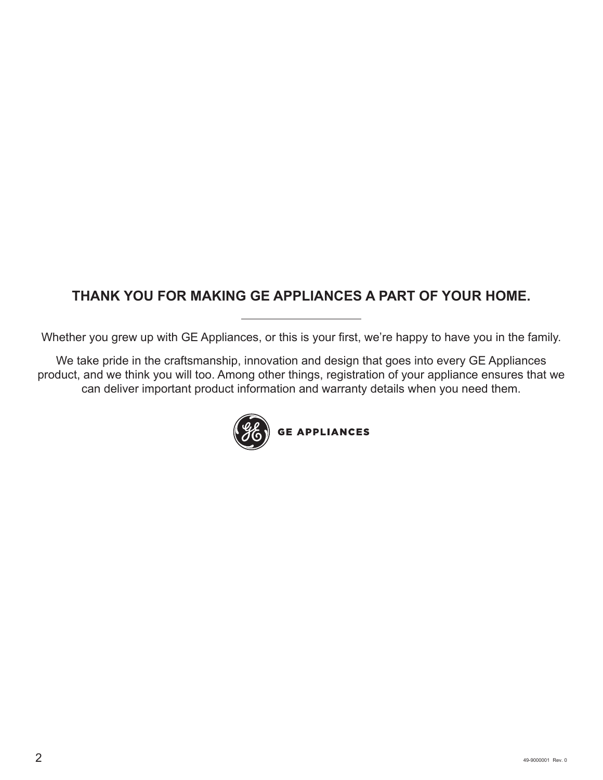#### **THANK YOU FOR MAKING GE APPLIANCES A PART OF YOUR HOME.**

Whether you grew up with GE Appliances, or this is your first, we're happy to have you in the family.

We take pride in the craftsmanship, innovation and design that goes into every GE Appliances product, and we think you will too. Among other things, registration of your appliance ensures that we can deliver important product information and warranty details when you need them.

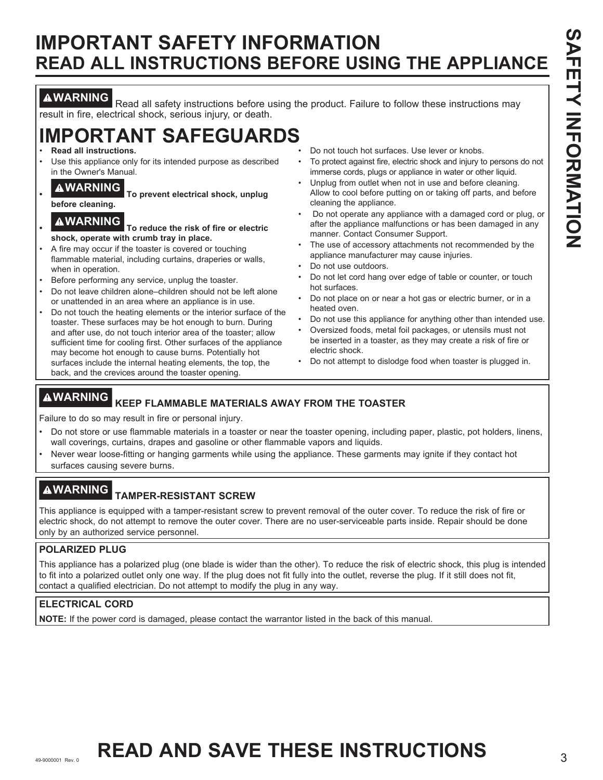#### **IMPORTANT SAFETY INFORMATION READ ALL INSTRUCTIONS BEFORE USING THE APPLIANCE**

**AWARNING** Read all safety instructions before using the product. Failure to follow these instructions may result in fire, electrical shock, serious injury, or death.

## **IMPORTANT SAFEGUARDS**

- **Read all instructions.**
- Use this appliance only for its intended purpose as described in the Owner's Manual.

**• WARNING To prevent electrical shock, unplug before cleaning.**

- **WARNING To reduce the risk of fire or electric shock, operate with crumb tray in place.**
- A fire may occur if the toaster is covered or touching flammable material, including curtains, draperies or walls, when in operation.
- Before performing any service, unplug the toaster.
- Do not leave children alone–children should not be left alone or unattended in an area where an appliance is in use.
- Do not touch the heating elements or the interior surface of the toaster. These surfaces may be hot enough to burn. During and after use, do not touch interior area of the toaster; allow sufficient time for cooling first. Other surfaces of the appliance may become hot enough to cause burns. Potentially hot surfaces include the internal heating elements, the top, the back, and the crevices around the toaster opening.
- Do not touch hot surfaces. Use lever or knobs.
- To protect against fire, electric shock and injury to persons do not immerse cords, plugs or appliance in water or other liquid.
- Unplug from outlet when not in use and before cleaning. Allow to cool before putting on or taking off parts, and before cleaning the appliance.
- Do not operate any appliance with a damaged cord or plug, or after the appliance malfunctions or has been damaged in any manner. Contact Consumer Support.
- The use of accessory attachments not recommended by the appliance manufacturer may cause injuries.
- Do not use outdoors.
- Do not let cord hang over edge of table or counter, or touch hot surfaces.
- Do not place on or near a hot gas or electric burner, or in a heated oven.
- Do not use this appliance for anything other than intended use.
- Oversized foods, metal foil packages, or utensils must not be inserted in a toaster, as they may create a risk of fire or electric shock.
- Do not attempt to dislodge food when toaster is plugged in.

#### **WARNING KEEP FLAMMABLE MATERIALS AWAY FROM THE TOASTER**

Failure to do so may result in fire or personal injury.

- Do not store or use flammable materials in a toaster or near the toaster opening, including paper, plastic, pot holders, linens, wall coverings, curtains, drapes and gasoline or other flammable vapors and liquids.
- Never wear loose-fitting or hanging garments while using the appliance. These garments may ignite if they contact hot surfaces causing severe burns.

#### **WARNING TAMPER-RESISTANT SCREW**

This appliance is equipped with a tamper-resistant screw to prevent removal of the outer cover. To reduce the risk of fire or electric shock, do not attempt to remove the outer cover. There are no user-serviceable parts inside. Repair should be done only by an authorized service personnel.

#### **POLARIZED PLUG**

This appliance has a polarized plug (one blade is wider than the other). To reduce the risk of electric shock, this plug is intended to fit into a polarized outlet only one way. If the plug does not fit fully into the outlet, reverse the plug. If it still does not fit, contact a qualified electrician. Do not attempt to modify the plug in any way.

#### **ELECTRICAL CORD**

**NOTE:** If the power cord is damaged, please contact the warrantor listed in the back of this manual.

# 49-9000001 Rev. **8 READ AND SAVE THESE INSTRUCTIONS**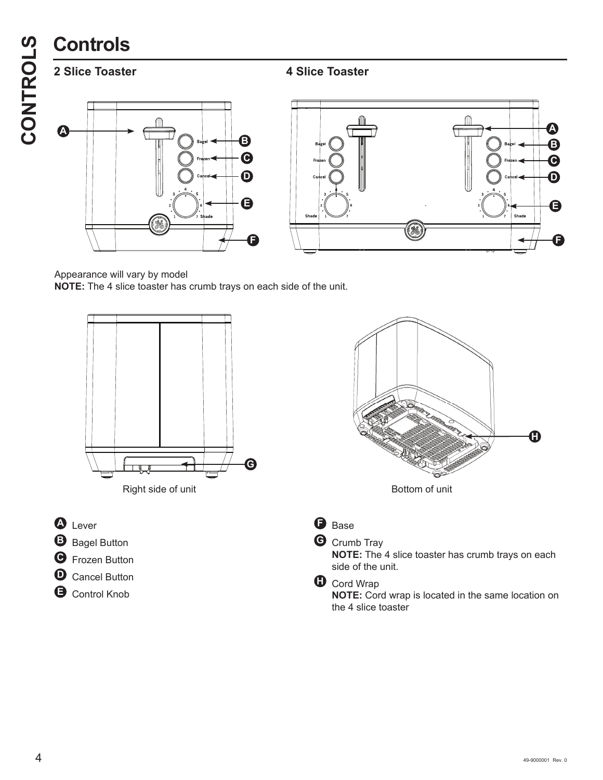**2 Slice Toaster 4 Slice Toaster** 



Appearance will vary by model **NOTE:** The 4 slice toaster has crumb trays on each side of the unit.

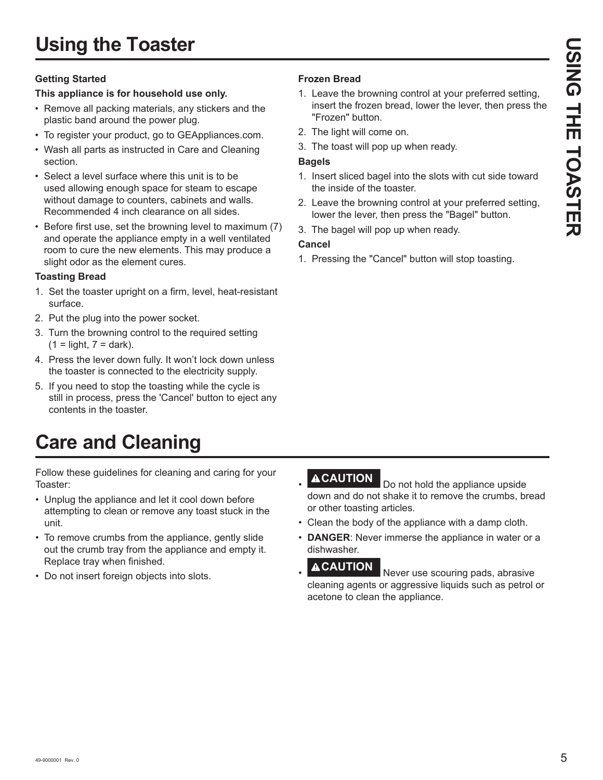# **Using the Toaster**

#### **Getting Started**

#### **This appliance is for household use only.**

- Remove all packing materials, any stickers and the plastic band around the power plug.
- To register your product, go to GEAppliances.com.
- Wash all parts as instructed in Care and Cleaning section.
- Select a level surface where this unit is to be used allowing enough space for steam to escape without damage to counters, cabinets and walls. Recommended 4 inch clearance on all sides.
- Before first use, set the browning level to maximum (7) and operate the appliance empty in a well ventilated room to cure the new elements. This may produce a slight odor as the element cures.

#### **Toasting Bread**

- 1. Set the toaster upright on a firm, level, heat-resistant surface.
- 2. Put the plug into the power socket.
- 3. Turn the browning control to the required setting  $(1 =$ light,  $7 =$ dark).
- 4. Press the lever down fully. It won't lock down unless the toaster is connected to the electricity supply.
- 5. If you need to stop the toasting while the cycle is still in process, press the 'Cancel' button to eject any contents in the toaster.

# **Care and Cleaning**

Follow these guidelines for cleaning and caring for your Toaster:

- Unplug the appliance and let it cool down before attempting to clean or remove any toast stuck in the unit.
- To remove crumbs from the appliance, gently slide out the crumb tray from the appliance and empty it. Replace tray when finished.
- Do not insert foreign objects into slots.

#### **Frozen Bread**

- 1. Leave the browning control at your preferred setting, insert the frozen bread, lower the lever, then press the "Frozen" button.
- 2. The light will come on.
- 3. The toast will pop up when ready.

#### **Bagels**

- 1. Insert sliced bagel into the slots with cut side toward the inside of the toaster.
- 2. Leave the browning control at your preferred setting, lower the lever, then press the "Bagel" button.
- 3. The bagel will pop up when ready.

#### **Cancel**

1. Pressing the "Cancel" button will stop toasting.

•

- **ACAUTION** Do not hold the appliance upside down and do not shake it to remove the crumbs, bread or other toasting articles.
- Clean the body of the appliance with a damp cloth.
- **DANGER**: Never immerse the appliance in water or a dishwasher.
- **ACAUTION** Never use scouring pads, abrasive cleaning agents or aggressive liquids such as petrol or acetone to clean the appliance.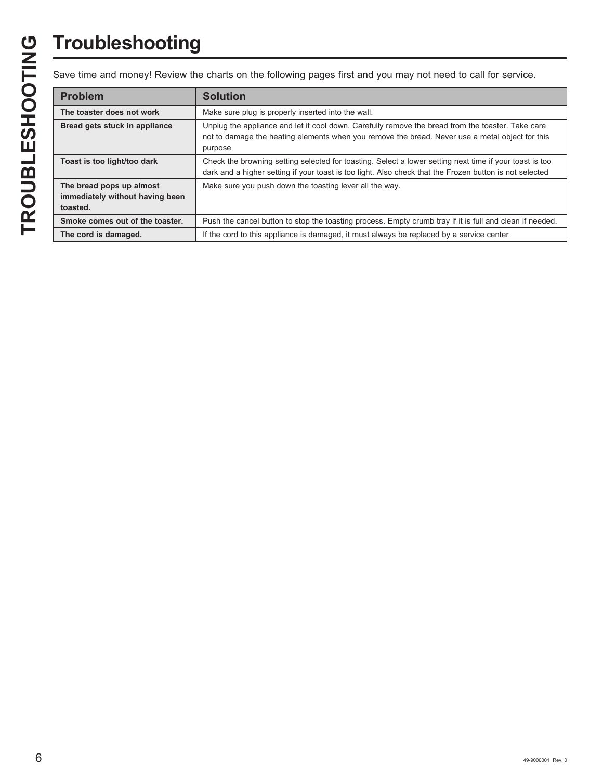# **Troubleshooting**

Save time and money! Review the charts on the following pages first and you may not need to call for service.

| <b>Problem</b>                                                          | <b>Solution</b>                                                                                                                                                                                                    |
|-------------------------------------------------------------------------|--------------------------------------------------------------------------------------------------------------------------------------------------------------------------------------------------------------------|
| The toaster does not work                                               | Make sure plug is properly inserted into the wall.                                                                                                                                                                 |
| Bread gets stuck in appliance                                           | Unplug the appliance and let it cool down. Carefully remove the bread from the toaster. Take care<br>not to damage the heating elements when you remove the bread. Never use a metal object for this<br>purpose    |
| Toast is too light/too dark                                             | Check the browning setting selected for toasting. Select a lower setting next time if your toast is too<br>dark and a higher setting if your toast is too light. Also check that the Frozen button is not selected |
| The bread pops up almost<br>immediately without having been<br>toasted. | Make sure you push down the toasting lever all the way.                                                                                                                                                            |
| Smoke comes out of the toaster.                                         | Push the cancel button to stop the toasting process. Empty crumb tray if it is full and clean if needed.                                                                                                           |
| The cord is damaged.                                                    | If the cord to this appliance is damaged, it must always be replaced by a service center                                                                                                                           |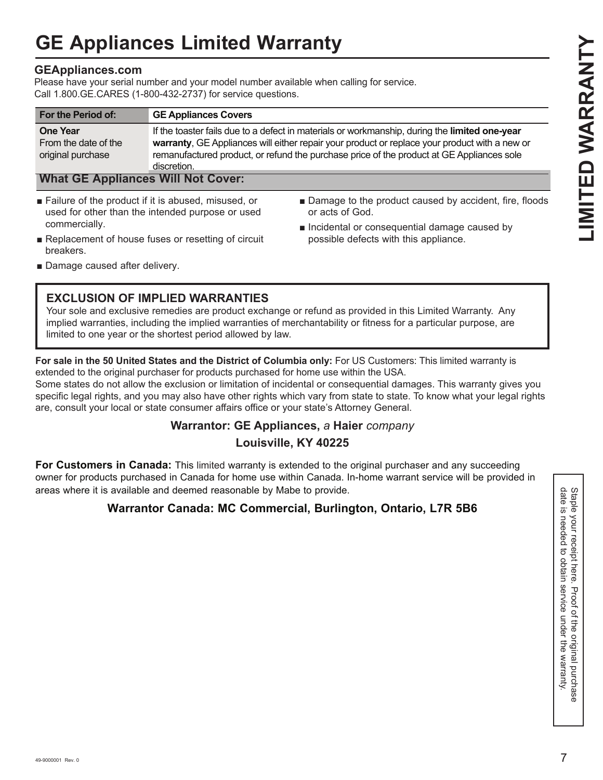# **GE Appliances Limited Warranty**

#### **GEAppliances.com**

Please have your serial number and your model number available when calling for service. Call 1.800. GE.CARES (1-800-432-2737) for service questions.

| For the Period of:                                                                                        | <b>GE Appliances Covers</b>                      |                                                                                                                                                                                                                                                                                             |
|-----------------------------------------------------------------------------------------------------------|--------------------------------------------------|---------------------------------------------------------------------------------------------------------------------------------------------------------------------------------------------------------------------------------------------------------------------------------------------|
| <b>One Year</b><br>From the date of the<br>original purchase<br><b>What GE Appliances Will Not Cover:</b> | discretion.                                      | If the toaster fails due to a defect in materials or workmanship, during the limited one-year<br>warranty, GE Appliances will either repair your product or replace your product with a new or<br>remanufactured product, or refund the purchase price of the product at GE Appliances sole |
| Failure of the product if it is abused, misused, or<br>commercially.                                      | used for other than the intended purpose or used | ■ Damage to the product caused by accident, fire, floods<br>or acts of God.<br>local heightal or consequential damage caused by                                                                                                                                                             |

- $\blacksquare$  Replacement of house fuses or resetting of circuit breakers.
- 
- $\blacksquare$  Incidental or consequential damage caused by possible defects with this appliance.

Damage caused after delivery.

#### **EXCLUSION OF IMPLIED WARRANTIES**

Your sole and exclusive remedies are product exchange or refund as provided in this Limited Warranty. Any implied warranties, including the implied warranties of merchantability or fitness for a particular purpose, are limited to one year or the shortest period allowed by law.

**For sale in the 50 United States and the District of Columbia only:** For US Customers: This limited warranty is extended to the original purchaser for products purchased for home use within the USA.

Some states do not allow the exclusion or limitation of incidental or consequential damages. This warranty gives you specific legal rights, and you may also have other rights which vary from state to state. To know what your legal rights are, consult your local or state consumer affairs office or your state's Attorney General.

#### **Warrantor: GE Appliances,** *a* **Haier** *company*

#### **Louisville, KY 40225**

For Customers in Canada: This limited warranty is extended to the original purchaser and any succeeding owner for products purchased in Canada for home use within Canada. In-home warrant service will be provided in areas where it is available and deemed reasonable by Mabe to provide.

#### **Warrantor Canada: MC Commercial, Burlington, Ontario, L7R 5B6**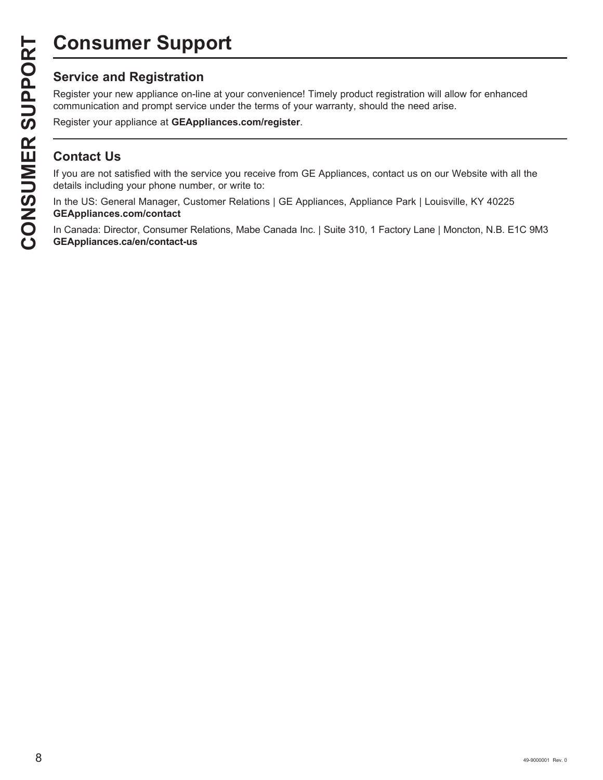# **Consumer Support**

Register your new appliance on-line at your convenience! Timely product registration will allow for enhanced communication and prompt service under the terms of your warranty, should the need arise.

Register your appliance at **GEAppliances.com/register**.

#### **Contact Us**

If you are not satisfied with the service you receive from GE Appliances, contact us on our Website with all the details including your phone number, or write to:

In the US: General Manager, Customer Relations | GE Appliances, Appliance Park | Louisville, KY 40225 **GEAppliances.com/contact**

In Canada: Director, Consumer Relations, Mabe Canada Inc. | Suite 310, 1 Factory Lane | Moncton, N.B. E1C 9M3 **GEAppliances.ca/en/contact-us**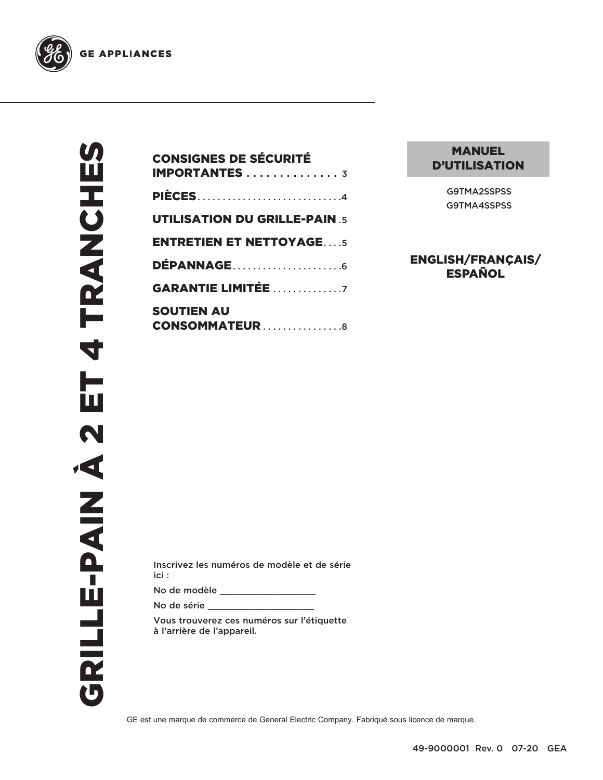

| <b>CONSIGNES DE SÉCURITÉ</b><br><b>IMPORTANTES</b> 3 |
|------------------------------------------------------|
| <b>PIÈCES</b> 4                                      |
| <b>UTILISATION DU GRILLE-PAIN.5</b>                  |
| <b>ENTRETIEN ET NETTOYAGE5</b>                       |
| <b>DÉPANNAGE</b> 6                                   |
| <b>GARANTIE LIMITÉE</b> 7                            |
| <b>SOUTIEN AU</b><br><b>CONSOMMATEUR</b> 8           |

#### MANUEL D'UTILISATION

G9TMA2SSPSS G9TMA4SSPSS

ENGLISH/FRANÇAIS/ ESPAÑOL

Inscrivez les numéros de modèle et de série ici :

No de modèle \_\_\_\_\_\_\_\_\_\_\_\_\_\_\_\_\_\_

No de série \_\_\_\_\_\_\_\_\_\_\_\_\_\_\_\_\_\_\_\_

Vous trouverez ces numéros sur l'étiquette à l'arrière de l'appareil.

GE est une marque de commerce de General Electric Company. Fabriqué sous licence de marque.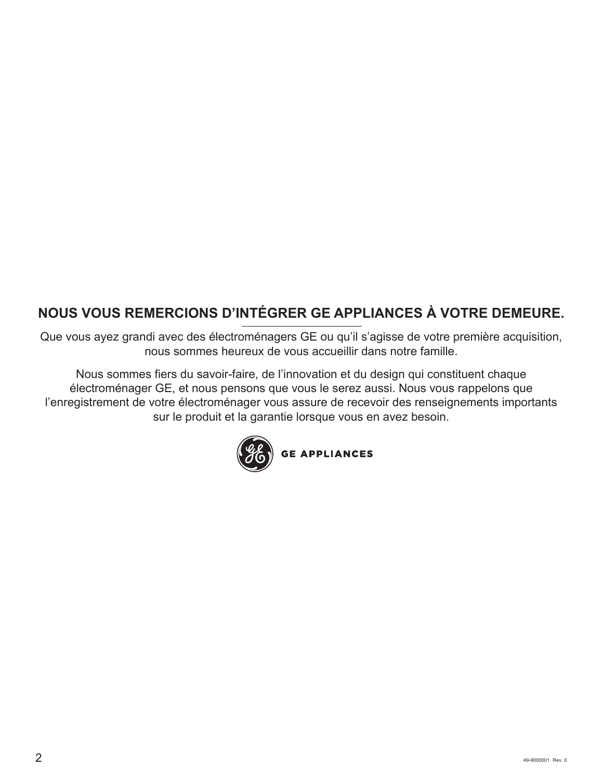#### **NOUS VOUS REMERCIONS D'INTÉGRER GE APPLIANCES À VOTRE DEMEURE.**

Que vous ayez grandi avec des électroménagers GE ou qu'il s'agisse de votre première acquisition, nous sommes heureux de vous accueillir dans notre famille.

Nous sommes fiers du savoir-faire, de l'innovation et du design qui constituent chaque électroménager GE, et nous pensons que vous le serez aussi. Nous vous rappelons que l'enregistrement de votre électroménager vous assure de recevoir des renseignements importants sur le produit et la garantie lorsque vous en avez besoin.

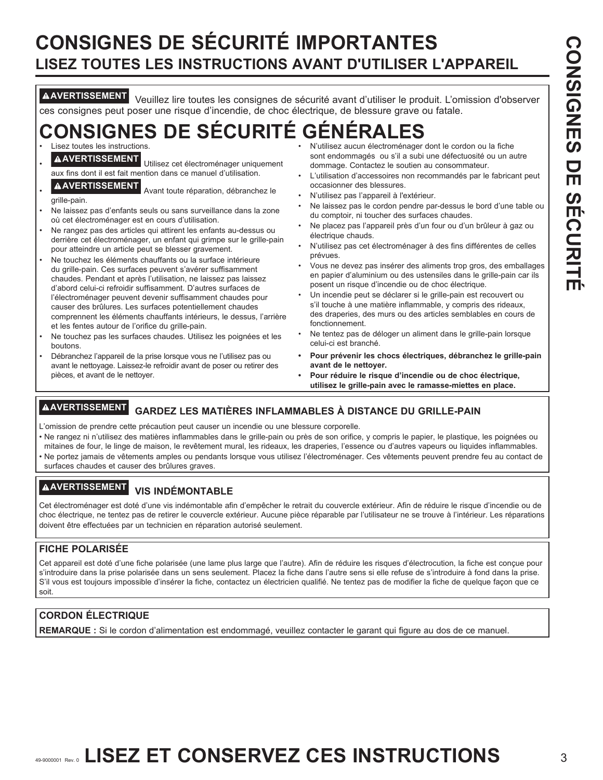#### **CONSIGNES DE SÉCURITÉ IMPORTANTES LISEZ TOUTES LES INSTRUCTIONS AVANT D'UTILISER L'APPAREIL**

**AVERTISSEMENT** Veuillez lire toutes les consignes de sécurité avant d'utiliser le produit. L'omission d'observer ces consignes peut poser une risque d'incendie, de choc électrique, de blessure grave ou fatale.

#### **ONSIGNES DE SÉCURITÉ GÉN** Lisez toutes les instructions.

- 
- **AVERTISSEMENT** Utilisez cet électroménager uniquement aux fins dont il est fait mention dans ce manuel d'utilisation.
- A AVERTISSEMENT<br>
Avant toute réparation, débranchez le

grille-pain.

- Ne laissez pas d'enfants seuls ou sans surveillance dans la zone où cet électroménager est en cours d'utilisation.
- Ne rangez pas des articles qui attirent les enfants au-dessus ou derrière cet électroménager, un enfant qui grimpe sur le grille-pain pour atteindre un article peut se blesser gravement.
- Ne touchez les éléments chauffants ou la surface intérieure du grille-pain. Ces surfaces peuvent s'avérer suffisamment chaudes. Pendant et après l'utilisation, ne laissez pas laissez d'abord celui-ci refroidir suffisamment. D'autres surfaces de l'électroménager peuvent devenir suffisamment chaudes pour causer des brûlures. Les surfaces potentiellement chaudes comprennent les éléments chauffants intérieurs, le dessus, l'arrière et les fentes autour de l'orifice du grille-pain.
- Ne touchez pas les surfaces chaudes. Utilisez les poignées et les boutons.
- Débranchez l'appareil de la prise lorsque vous ne l'utilisez pas ou avant le nettoyage. Laissez-le refroidir avant de poser ou retirer des pièces, et avant de le nettoyer.
- N'utilisez aucun électroménager dont le cordon ou la fiche sont endommagés ou s'il a subi une défectuosité ou un autre dommage. Contactez le soutien au consommateur.
- L'utilisation d'accessoires non recommandés par le fabricant peut occasionner des blessures.
- N'utilisez pas l'appareil à l'extérieur.
- Ne laissez pas le cordon pendre par-dessus le bord d'une table ou du comptoir, ni toucher des surfaces chaudes.
- Ne placez pas l'appareil près d'un four ou d'un brûleur à gaz ou électrique chauds.
- N'utilisez pas cet électroménager à des fins différentes de celles prévues.
- Vous ne devez pas insérer des aliments trop gros, des emballages en papier d'aluminium ou des ustensiles dans le grille-pain car ils posent un risque d'incendie ou de choc électrique.
- Un incendie peut se déclarer si le grille-pain est recouvert ou s'il touche à une matière inflammable, y compris des rideaux, des draperies, des murs ou des articles semblables en cours de fonctionnement.
- Ne tentez pas de déloger un aliment dans le grille-pain lorsque celui-ci est branché.
- **Pour prévenir les chocs électriques, débranchez le grille-pain avant de le nettoyer.**
- **Pour réduire le risque d'incendie ou de choc électrique, utilisez le grille-pain avec le ramasse-miettes en place.**

#### **AVERTISSEMENT GARDEZ LES MATIÈRES INFLAMMABLES À DISTANCE DU GRILLE-PAIN**

- L'omission de prendre cette précaution peut causer un incendie ou une blessure corporelle.
- Ne rangez ni n'utilisez des matières inflammables dans le grille-pain ou près de son orifice, y compris le papier, le plastique, les poignées ou mitaines de four, le linge de maison, le revêtement mural, les rideaux, les draperies, l'essence ou d'autres vapeurs ou liquides inflammables. • Ne portez jamais de vêtements amples ou pendants lorsque vous utilisez l'électroménager. Ces vêtements peuvent prendre feu au contact de
- surfaces chaudes et causer des brûlures graves.

#### **AVERTISSEMENT VIS INDÉMONTABLE**

Cet électroménager est doté d'une vis indémontable afin d'empêcher le retrait du couvercle extérieur. Afin de réduire le risque d'incendie ou de choc électrique, ne tentez pas de retirer le couvercle extérieur. Aucune pièce réparable par l'utilisateur ne se trouve à l'intérieur. Les réparations doivent être effectuées par un technicien en réparation autorisé seulement.

#### **FICHE POLARISÉE**

Cet appareil est doté d'une fiche polarisée (une lame plus large que l'autre). Afin de réduire les risques d'électrocution, la fiche est conçue pour s'introduire dans la prise polarisée dans un sens seulement. Placez la fiche dans l'autre sens si elle refuse de s'introduire à fond dans la prise. S'il vous est toujours impossible d'insérer la fiche, contactez un électricien qualifié. Ne tentez pas de modifier la fiche de quelque façon que ce soit.

#### **CORDON ÉLECTRIQUE**

**REMARQUE :** Si le cordon d'alimentation est endommagé, veuillez contacter le garant qui figure au dos de ce manuel.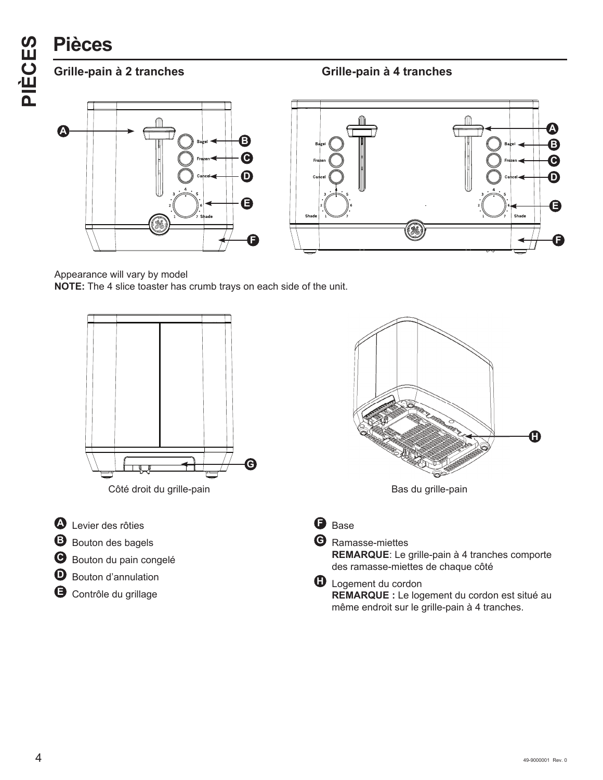# **PIÈCES**<br> **PIÈCES**<br> **PIÈCES**<br> **PIÈCES**<br> **PIÈCES**







Appearance will vary by model

**NOTE:** The 4 slice toaster has crumb trays on each side of the unit.



# **H**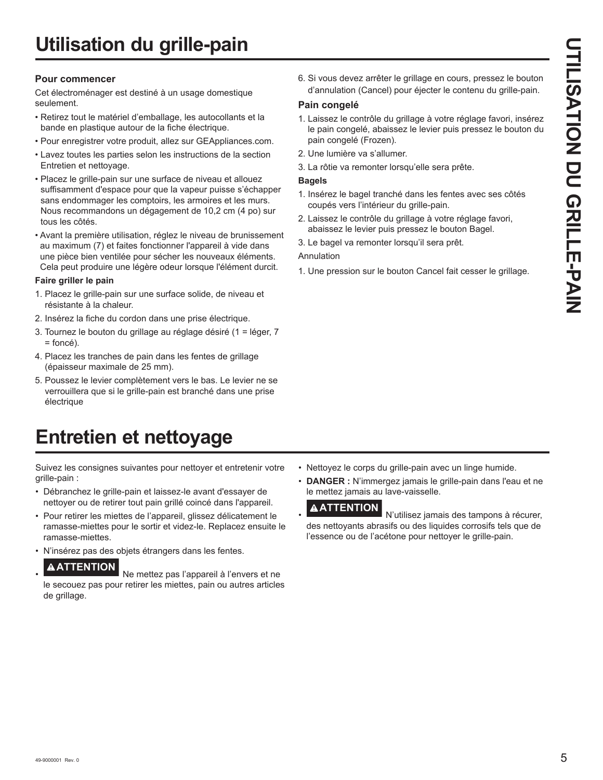#### **Pour commencer**

Cet électroménager est destiné à un usage domestique seulement.

- Retirez tout le matériel d'emballage, les autocollants et la bande en plastique autour de la fiche électrique.
- Pour enregistrer votre produit, allez sur GEAppliances.com.
- Lavez toutes les parties selon les instructions de la section Entretien et nettoyage.
- Placez le grille-pain sur une surface de niveau et allouez suffisamment d'espace pour que la vapeur puisse s'échapper sans endommager les comptoirs, les armoires et les murs. Nous recommandons un dégagement de 10,2 cm (4 po) sur tous les côtés.
- Avant la première utilisation, réglez le niveau de brunissement au maximum (7) et faites fonctionner l'appareil à vide dans une pièce bien ventilée pour sécher les nouveaux éléments. Cela peut produire une légère odeur lorsque l'élément durcit.

#### **Faire griller le pain**

- 1. Placez le grille-pain sur une surface solide, de niveau et résistante à la chaleur.
- 2. Insérez la fiche du cordon dans une prise électrique.
- 3. Tournez le bouton du grillage au réglage désiré (1 = léger, 7 = foncé).
- 4. Placez les tranches de pain dans les fentes de grillage (épaisseur maximale de 25 mm).
- 5. Poussez le levier complètement vers le bas. Le levier ne se verrouillera que si le grille-pain est branché dans une prise électrique

### **Entretien et nettoyage**

Suivez les consignes suivantes pour nettoyer et entretenir votre grille-pain :

- Débranchez le grille-pain et laissez-le avant d'essayer de nettoyer ou de retirer tout pain grillé coincé dans l'appareil.
- Pour retirer les miettes de l'appareil, glissez délicatement le ramasse-miettes pour le sortir et videz-le. Replacez ensuite le ramasse-miettes.
- N'insérez pas des objets étrangers dans les fentes.

#### • **ATTENTION**

 Ne mettez pas l'appareil à l'envers et ne le secouez pas pour retirer les miettes, pain ou autres articles de grillage.

6. Si vous devez arrêter le grillage en cours, pressez le bouton d'annulation (Cancel) pour éjecter le contenu du grille-pain.

#### **Pain congelé**

- 1. Laissez le contrôle du grillage à votre réglage favori, insérez le pain congelé, abaissez le levier puis pressez le bouton du pain congelé (Frozen).
- 2. Une lumière va s'allumer.
- 3. La rôtie va remonter lorsqu'elle sera prête.

#### **Bagels**

- 1. Insérez le bagel tranché dans les fentes avec ses côtés coupés vers l'intérieur du grille-pain.
- 2. Laissez le contrôle du grillage à votre réglage favori, abaissez le levier puis pressez le bouton Bagel.

3. Le bagel va remonter lorsqu'il sera prêt.

Annulation

1. Une pression sur le bouton Cancel fait cesser le grillage.

- Nettoyez le corps du grille-pain avec un linge humide.
- **DANGER :** N'immergez jamais le grille-pain dans l'eau et ne le mettez jamais au lave-vaisselle.

#### • **ATTENTION**

 N'utilisez jamais des tampons à récurer, des nettoyants abrasifs ou des liquides corrosifs tels que de l'essence ou de l'acétone pour nettoyer le grille-pain.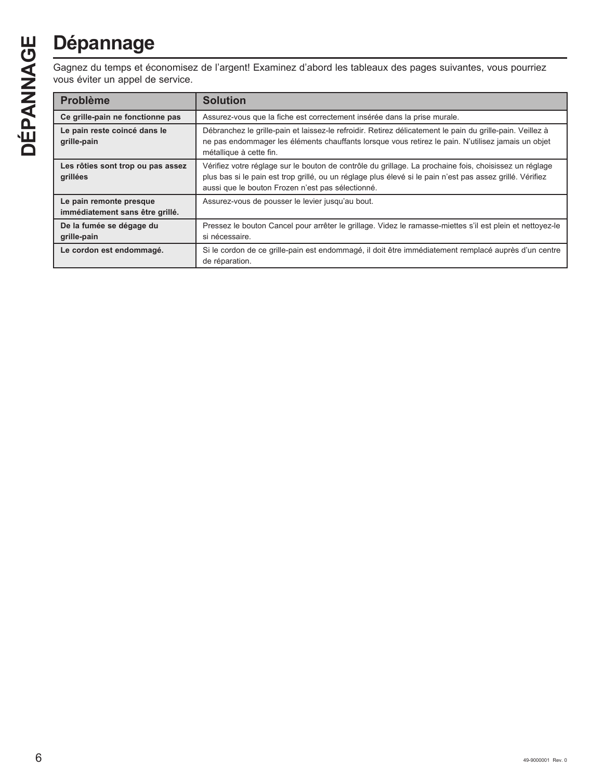# **Dépannage**

| Ш<br>$\overline{c}$  | <b>Dépannage</b>                                                                                                                                |                                                                                                                                                                                                                                                                          |  |  |
|----------------------|-------------------------------------------------------------------------------------------------------------------------------------------------|--------------------------------------------------------------------------------------------------------------------------------------------------------------------------------------------------------------------------------------------------------------------------|--|--|
| $\breve{\mathsf{Z}}$ | Gagnez du temps et économisez de l'argent! Examinez d'abord les tableaux des pages suivantes, vous pourriez<br>vous éviter un appel de service. |                                                                                                                                                                                                                                                                          |  |  |
|                      | <b>Problème</b>                                                                                                                                 | <b>Solution</b>                                                                                                                                                                                                                                                          |  |  |
|                      | Ce grille-pain ne fonctionne pas                                                                                                                | Assurez-vous que la fiche est correctement insérée dans la prise murale.                                                                                                                                                                                                 |  |  |
| ÉPANI                | Le pain reste coincé dans le<br>grille-pain                                                                                                     | Débranchez le grille-pain et laissez-le refroidir. Retirez délicatement le pain du grille-pain. Veillez à<br>ne pas endommager les éléments chauffants lorsque vous retirez le pain. N'utilisez jamais un objet<br>métallique à cette fin.                               |  |  |
|                      | Les rôties sont trop ou pas assez<br>grillées                                                                                                   | Vérifiez votre réglage sur le bouton de contrôle du grillage. La prochaine fois, choisissez un réglage<br>plus bas si le pain est trop grillé, ou un réglage plus élevé si le pain n'est pas assez grillé. Vérifiez<br>aussi que le bouton Frozen n'est pas sélectionné. |  |  |
|                      | Le pain remonte presque<br>immédiatement sans être grillé.                                                                                      | Assurez-vous de pousser le levier jusqu'au bout.                                                                                                                                                                                                                         |  |  |
|                      | De la fumée se dégage du<br>grille-pain                                                                                                         | Pressez le bouton Cancel pour arrêter le grillage. Videz le ramasse-miettes s'il est plein et nettoyez-le<br>si nécessaire.                                                                                                                                              |  |  |
|                      | Le cordon est endommagé.                                                                                                                        | Si le cordon de ce grille-pain est endommagé, il doit être immédiatement remplacé auprès d'un centre<br>de réparation.                                                                                                                                                   |  |  |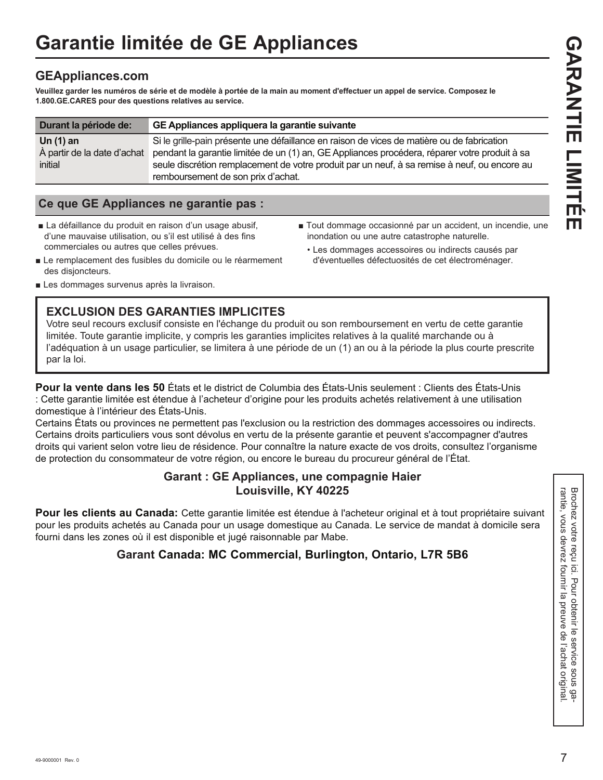#### **GEAppliances.com**

**Veuillez garder les numéros de série et de modèle à portée de la main au moment d'effectuer un appel de service. Composez le 1.800.GE.CARES pour des questions relatives au service.** 

| Durant la période de:       | GE Appliances appliquera la garantie suivante                                                 |  |
|-----------------------------|-----------------------------------------------------------------------------------------------|--|
| Un $(1)$ an                 | Si le grille-pain présente une défaillance en raison de vices de matière ou de fabrication    |  |
| À partir de la date d'achat | pendant la garantie limitée de un (1) an, GE Appliances procédera, réparer votre produit à sa |  |
| initial                     | seule discrétion remplacement de votre produit par un neuf, à sa remise à neuf, ou encore au  |  |
|                             | remboursement de son prix d'achat.                                                            |  |

#### **Ce que GE Appliances ne garantie pas :**

- La défaillance du produit en raison d'un usage abusif, d'une mauvaise utilisation, ou s'il est utilisé à des fins commerciales ou autres que celles prévues.
- Tout dommage occasionné par un accident, un incendie, une inondation ou une autre catastrophe naturelle.
- Le remplacement des fusibles du domicile ou le réarmement • Les dommages accessoires ou indirects causés par d'éventuelles défectuosités de cet électroménager.
- Les dommages survenus après la livraison.

des disjoncteurs.

#### **EXCLUSION DES GARANTIES IMPLICITES**

Votre seul recours exclusif consiste en l'échange du produit ou son remboursement en vertu de cette garantie limitée. Toute garantie implicite, y compris les garanties implicites relatives à la qualité marchande ou à l'adéquation à un usage particulier, se limitera à une période de un (1) an ou à la période la plus courte prescrite par la loi.

**Pour la vente dans les 50** États et le district de Columbia des États-Unis seulement : Clients des États-Unis : Cette garantie limitée est étendue à l'acheteur d'origine pour les produits achetés relativement à une utilisation domestique à l'intérieur des États-Unis.

Certains États ou provinces ne permettent pas l'exclusion ou la restriction des dommages accessoires ou indirects. Certains droits particuliers vous sont dévolus en vertu de la présente garantie et peuvent s'accompagner d'autres droits qui varient selon votre lieu de résidence. Pour connaître la nature exacte de vos droits, consultez l'organisme de protection du consommateur de votre région, ou encore le bureau du procureur général de l'État.

#### **Garant : GE Appliances, une compagnie Haier Louisville, KY 40225**

**Pour les clients au Canada:** Cette garantie limitée est étendue à l'acheteur original et à tout propriétaire suivant<br>
pour les produits achetes au Canada pour un usage domestique au Canada. Le service de mandat à domicile pour les produits achetés au Canada pour un usage domestique au Canada. Le service de mandat à domicile sera fourni dans les zones où il est disponible et jugé raisonnable par Mabe.

#### **Garant Canada: MC Commercial, Burlington, Ontario, L7R 5B6**